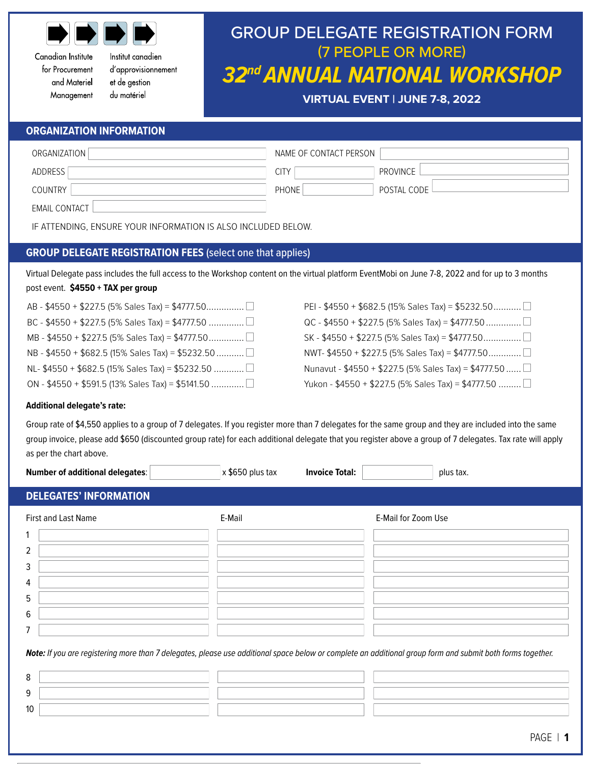

Canadian Institute for Procurement and Materiel Management Institut canadien d'approvisionnement et de gestion du matériel

# GROUP DELEGATE REGISTRATION FORM (7 PEOPLE OR MORE) *32nd ANNUAL NATIONAL WORKSHOP*

**VIRTUAL EVENT | JUNE 7-8, 2022**

### **ORGANIZATION INFORMATION**

| ORGANIZATION                                                  | NAME OF CONTACT PERSON |             |  |  |
|---------------------------------------------------------------|------------------------|-------------|--|--|
| ADDRESS                                                       | CITY                   | PROVINCE    |  |  |
| <b>COUNTRY</b>                                                | PHONE                  | POSTAL CODE |  |  |
| <b>EMAIL CONTACT</b>                                          |                        |             |  |  |
| IF ATTENDING. ENSURE YOUR INFORMATION IS ALSO INCLUDED BELOW. |                        |             |  |  |

## **GROUP DELEGATE REGISTRATION FEES** (select one that applies)

Virtual Delegate pass includes the full access to the Workshop content on the virtual platform EventMobi on June 7-8, 2022 and for up to 3 months post event. **\$4550 + TAX per group**

| BC - \$4550 + \$227.5 (5% Sales Tax) = \$4777.50    |
|-----------------------------------------------------|
|                                                     |
| NB - \$4550 + \$682.5 (15% Sales Tax) = \$5232.50 □ |
| NL- \$4550 + \$682.5 (15% Sales Tax) = \$5232.50 □  |
| ON - \$4550 + \$591.5 (13% Sales Tax) = \$5141.50   |

PEI - \$4550 + \$682.5 (15% Sales Tax) = \$5232.50............ QC - \$4550 + \$227.5 (5% Sales Tax) = \$4777.50................. SK - \$4550 + \$227.5 (5% Sales Tax) = \$4777.50............... NWT- \$4550 + \$227.5 (5% Sales Tax) = \$4777.50..............□ Nunavut - \$4550 + \$227.5 (5% Sales Tax) = \$4777.50...... Yukon - \$4550 + \$227.5 (5% Sales Tax) = \$4777.50 .........

#### **Additional delegate's rate:**

9 10

Group rate of \$4,550 applies to a group of 7 delegates. If you register more than 7 delegates for the same group and they are included into the same group invoice, please add \$650 (discounted group rate) for each additional delegate that you register above a group of 7 delegates. Tax rate will apply as per the chart above.

| <b>Number of additional delegates:</b>                                                                                                                     | x \$650 plus tax | <b>Invoice Total:</b> |                     | plus tax. |
|------------------------------------------------------------------------------------------------------------------------------------------------------------|------------------|-----------------------|---------------------|-----------|
| <b>DELEGATES' INFORMATION</b>                                                                                                                              |                  |                       |                     |           |
| <b>First and Last Name</b>                                                                                                                                 | E-Mail           |                       | E-Mail for Zoom Use |           |
| 1                                                                                                                                                          |                  |                       |                     |           |
| 2                                                                                                                                                          |                  |                       |                     |           |
| 3                                                                                                                                                          |                  |                       |                     |           |
| 4                                                                                                                                                          |                  |                       |                     |           |
| 5                                                                                                                                                          |                  |                       |                     |           |
| 6                                                                                                                                                          |                  |                       |                     |           |
| 7                                                                                                                                                          |                  |                       |                     |           |
| Note: If you are registering more than 7 delegates, please use additional space below or complete an additional group form and submit both forms together. |                  |                       |                     |           |
| 8                                                                                                                                                          |                  |                       |                     |           |